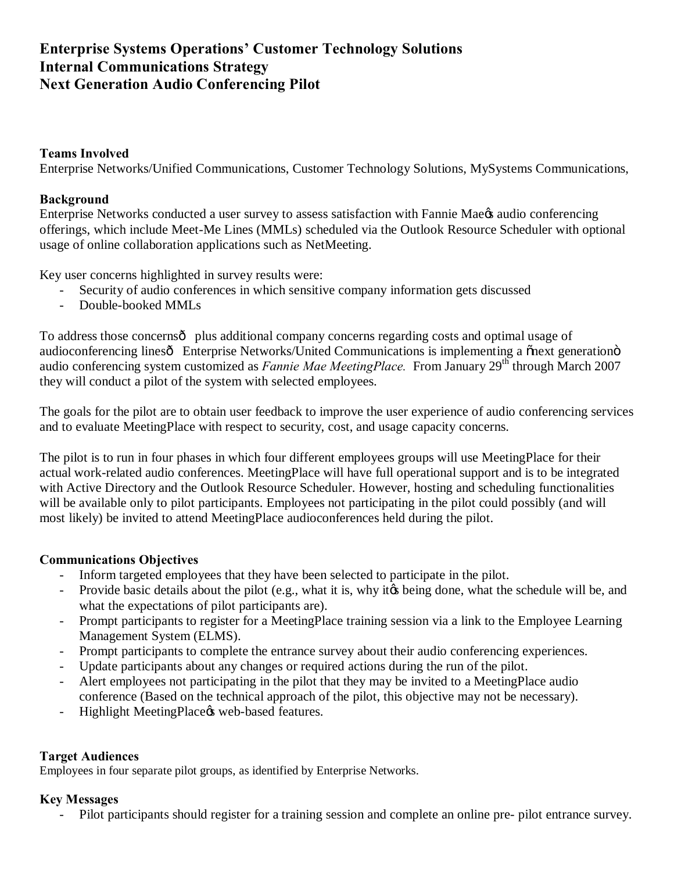### **Teams Involved**

Enterprise Networks/Unified Communications, Customer Technology Solutions, MySystems Communications,

### **Background**

Enterprise Networks conducted a user survey to assess satisfaction with Fannie Mae & audio conferencing offerings, which include Meet-Me Lines (MMLs) scheduled via the Outlook Resource Scheduler with optional usage of online collaboration applications such as NetMeeting.

Key user concerns highlighted in survey results were:

- Security of audio conferences in which sensitive company information gets discussed
- Double-booked MMLs

To address those concerns $\hat{o}$  plus additional company concerns regarding costs and optimal usage of audioconferencing linesô Enterprise Networks/United Communications is implementing a onext generationome audio conferencing system customized as *Fannie Mae MeetingPlace*. From January 29<sup>th</sup> through March 2007 they will conduct a pilot of the system with selected employees.

The goals for the pilot are to obtain user feedback to improve the user experience of audio conferencing services and to evaluate MeetingPlace with respect to security, cost, and usage capacity concerns.

The pilot is to run in four phases in which four different employees groups will use MeetingPlace for their actual work-related audio conferences. MeetingPlace will have full operational support and is to be integrated with Active Directory and the Outlook Resource Scheduler. However, hosting and scheduling functionalities will be available only to pilot participants. Employees not participating in the pilot could possibly (and will most likely) be invited to attend MeetingPlace audioconferences held during the pilot.

## **Communications Objectives**

- Inform targeted employees that they have been selected to participate in the pilot.
- Provide basic details about the pilot (e.g., what it is, why it the schedule will be, and  $\mathbf{F}$ what the expectations of pilot participants are).
- Prompt participants to register for a MeetingPlace training session via a link to the Employee Learning Management System (ELMS).
- Prompt participants to complete the entrance survey about their audio conferencing experiences.
- Update participants about any changes or required actions during the run of the pilot.
- Alert employees not participating in the pilot that they may be invited to a MeetingPlace audio conference (Based on the technical approach of the pilot, this objective may not be necessary).
- Highlight MeetingPlace & web-based features.

## **Target Audiences**

Employees in four separate pilot groups, as identified by Enterprise Networks.

#### **Key Messages**

Pilot participants should register for a training session and complete an online pre- pilot entrance survey.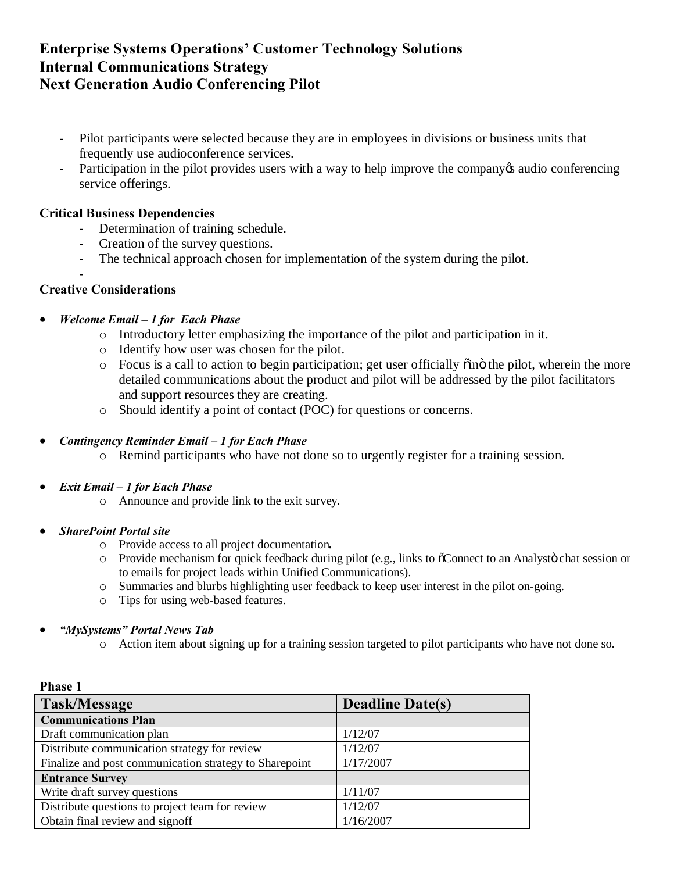- Pilot participants were selected because they are in employees in divisions or business units that frequently use audioconference services.
- Participation in the pilot provides users with a way to help improve the company audio conferencing service offerings.

## **Critical Business Dependencies**

- Determination of training schedule.
- Creation of the survey questions.
- The technical approach chosen for implementation of the system during the pilot.

## **Creative Considerations**

-

#### · *Welcome Email – 1 for Each Phase*

- o Introductory letter emphasizing the importance of the pilot and participation in it.
- o Identify how user was chosen for the pilot.
- $\circ$  Focus is a call to action to begin participation; get user officially  $\ddot{\text{o}}$  in the pilot, wherein the more detailed communications about the product and pilot will be addressed by the pilot facilitators and support resources they are creating.
- o Should identify a point of contact (POC) for questions or concerns.

#### · *Contingency Reminder Email – 1 for Each Phase*

- o Remind participants who have not done so to urgently register for a training session.
- · *Exit Email – 1 for Each Phase*
	- o Announce and provide link to the exit survey.

#### · *SharePoint Portal site*

**Phase 1** 

- o Provide access to all project documentation*.*
- $\circ$  Provide mechanism for quick feedback during pilot (e.g., links to  $\breve{\circ}$ Connect to an Analystö chat session or to emails for project leads within Unified Communications).
- o Summaries and blurbs highlighting user feedback to keep user interest in the pilot on-going.
- o Tips for using web-based features.
- · *"MySystems" Portal News Tab*
	- o Action item about signing up for a training session targeted to pilot participants who have not done so.

| гназе 1                                                |                         |
|--------------------------------------------------------|-------------------------|
| <b>Task/Message</b>                                    | <b>Deadline Date(s)</b> |
| <b>Communications Plan</b>                             |                         |
| Draft communication plan                               | 1/12/07                 |
| Distribute communication strategy for review           | 1/12/07                 |
| Finalize and post communication strategy to Sharepoint | 1/17/2007               |
| <b>Entrance Survey</b>                                 |                         |
| Write draft survey questions                           | 1/11/07                 |
| Distribute questions to project team for review        | 1/12/07                 |
| Obtain final review and signoff                        | 1/16/2007               |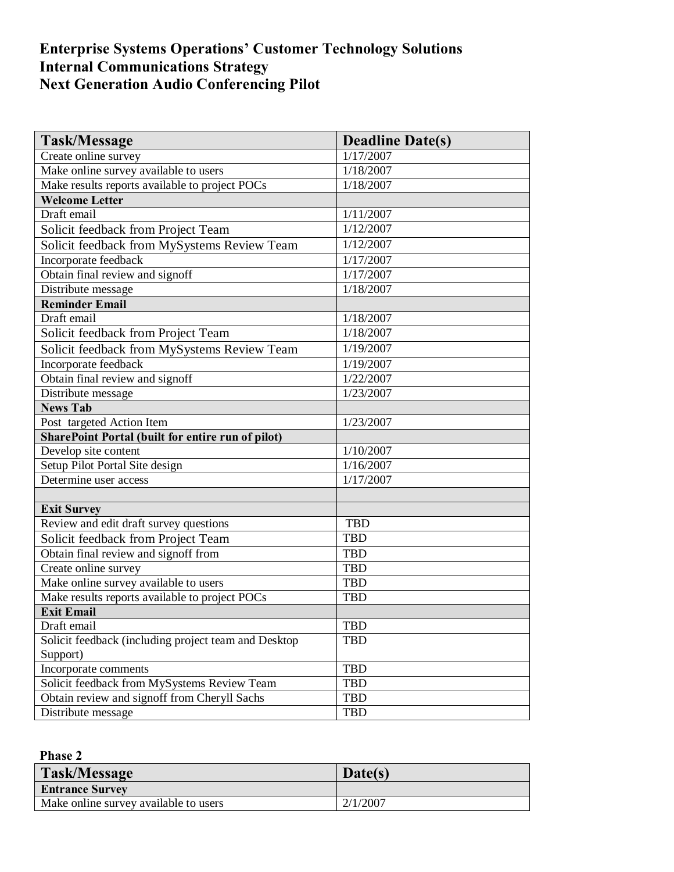| <b>Task/Message</b>                                      | <b>Deadline Date(s)</b> |
|----------------------------------------------------------|-------------------------|
| Create online survey                                     | 1/17/2007               |
| Make online survey available to users                    | 1/18/2007               |
| Make results reports available to project POCs           | 1/18/2007               |
| <b>Welcome Letter</b>                                    |                         |
| Draft email                                              | 1/11/2007               |
| Solicit feedback from Project Team                       | 1/12/2007               |
| Solicit feedback from MySystems Review Team              | 1/12/2007               |
| Incorporate feedback                                     | 1/17/2007               |
| Obtain final review and signoff                          | 1/17/2007               |
| Distribute message                                       | 1/18/2007               |
| <b>Reminder Email</b>                                    |                         |
| Draft email                                              | 1/18/2007               |
| Solicit feedback from Project Team                       | 1/18/2007               |
| Solicit feedback from MySystems Review Team              | 1/19/2007               |
| Incorporate feedback                                     | 1/19/2007               |
| Obtain final review and signoff                          | 1/22/2007               |
| Distribute message                                       | 1/23/2007               |
| <b>News Tab</b>                                          |                         |
| Post targeted Action Item                                | 1/23/2007               |
| <b>SharePoint Portal (built for entire run of pilot)</b> |                         |
| Develop site content                                     | 1/10/2007               |
| Setup Pilot Portal Site design                           | 1/16/2007               |
| Determine user access                                    | 1/17/2007               |
|                                                          |                         |
| <b>Exit Survey</b>                                       |                         |
| Review and edit draft survey questions                   | <b>TBD</b>              |
| Solicit feedback from Project Team                       | <b>TBD</b>              |
| Obtain final review and signoff from                     | <b>TBD</b>              |
| Create online survey                                     | <b>TBD</b>              |
| Make online survey available to users                    | <b>TBD</b>              |
| Make results reports available to project POCs           | <b>TBD</b>              |
| <b>Exit Email</b>                                        |                         |
| Draft email                                              | <b>TBD</b>              |
| Solicit feedback (including project team and Desktop     | <b>TBD</b>              |
| Support)                                                 |                         |
| Incorporate comments                                     | <b>TBD</b>              |
| Solicit feedback from MySystems Review Team              | <b>TBD</b>              |
| Obtain review and signoff from Cheryll Sachs             | TBD                     |
| Distribute message                                       | <b>TBD</b>              |

# **Phase 2**

| Task/Message                          | Date(s)  |
|---------------------------------------|----------|
| <b>Entrance Survey</b>                |          |
| Make online survey available to users | 2/1/2007 |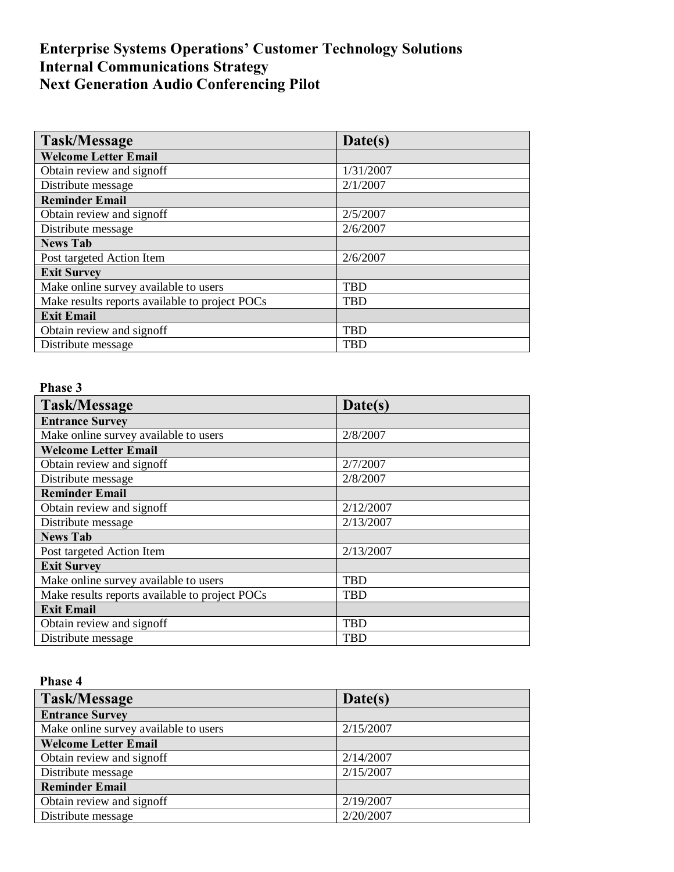| Task/Message                                   | Date(s)    |
|------------------------------------------------|------------|
| <b>Welcome Letter Email</b>                    |            |
| Obtain review and signoff                      | 1/31/2007  |
| Distribute message                             | 2/1/2007   |
| <b>Reminder Email</b>                          |            |
| Obtain review and signoff                      | 2/5/2007   |
| Distribute message                             | 2/6/2007   |
| <b>News Tab</b>                                |            |
| Post targeted Action Item                      | 2/6/2007   |
| <b>Exit Survey</b>                             |            |
| Make online survey available to users          | <b>TBD</b> |
| Make results reports available to project POCs | <b>TBD</b> |
| <b>Exit Email</b>                              |            |
| Obtain review and signoff                      | <b>TBD</b> |
| Distribute message                             | <b>TBD</b> |

# **Phase 3**

| Task/Message                                   | Date(s)    |
|------------------------------------------------|------------|
| <b>Entrance Survey</b>                         |            |
| Make online survey available to users          | 2/8/2007   |
| <b>Welcome Letter Email</b>                    |            |
| Obtain review and signoff                      | 2/7/2007   |
| Distribute message                             | 2/8/2007   |
| <b>Reminder Email</b>                          |            |
| Obtain review and signoff                      | 2/12/2007  |
| Distribute message                             | 2/13/2007  |
| <b>News Tab</b>                                |            |
| Post targeted Action Item                      | 2/13/2007  |
| <b>Exit Survey</b>                             |            |
| Make online survey available to users          | <b>TBD</b> |
| Make results reports available to project POCs | <b>TBD</b> |
| <b>Exit Email</b>                              |            |
| Obtain review and signoff                      | <b>TBD</b> |
| Distribute message                             | <b>TBD</b> |

## **Phase 4**

| Task/Message                          | Date(s)   |
|---------------------------------------|-----------|
| <b>Entrance Survey</b>                |           |
| Make online survey available to users | 2/15/2007 |
| <b>Welcome Letter Email</b>           |           |
| Obtain review and signoff             | 2/14/2007 |
| Distribute message                    | 2/15/2007 |
| <b>Reminder Email</b>                 |           |
| Obtain review and signoff             | 2/19/2007 |
| Distribute message                    | 2/20/2007 |